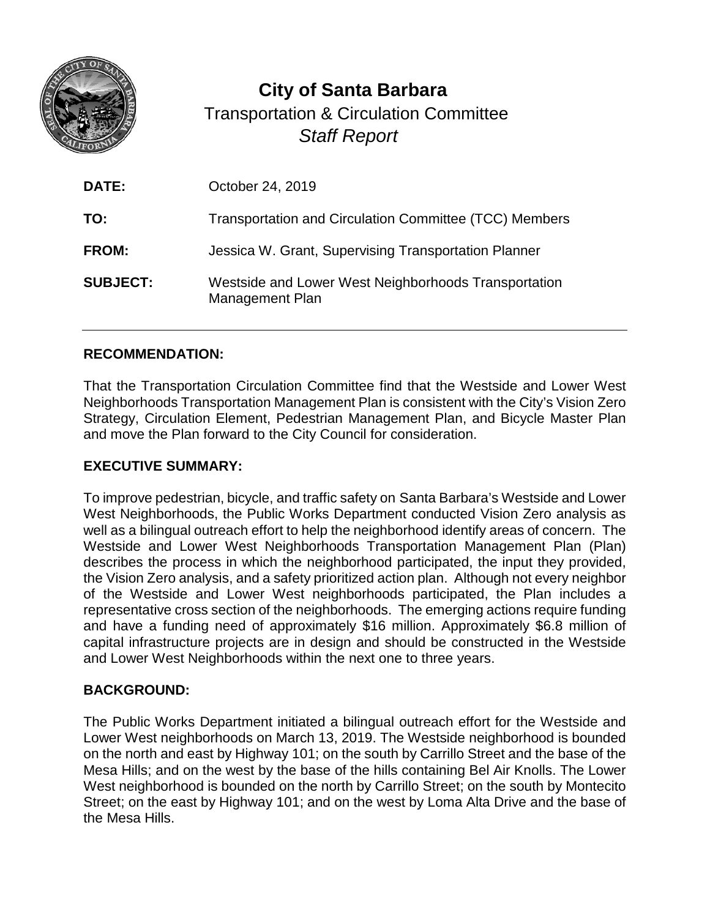

**City of Santa Barbara** Transportation & Circulation Committee *Staff Report*

| <b>DATE:</b>    | October 24, 2019                                                        |
|-----------------|-------------------------------------------------------------------------|
| TO:             | Transportation and Circulation Committee (TCC) Members                  |
| <b>FROM:</b>    | Jessica W. Grant, Supervising Transportation Planner                    |
| <b>SUBJECT:</b> | Westside and Lower West Neighborhoods Transportation<br>Management Plan |

### **RECOMMENDATION:**

That the Transportation Circulation Committee find that the Westside and Lower West Neighborhoods Transportation Management Plan is consistent with the City's Vision Zero Strategy, Circulation Element, Pedestrian Management Plan, and Bicycle Master Plan and move the Plan forward to the City Council for consideration.

#### **EXECUTIVE SUMMARY:**

To improve pedestrian, bicycle, and traffic safety on Santa Barbara's Westside and Lower West Neighborhoods, the Public Works Department conducted Vision Zero analysis as well as a bilingual outreach effort to help the neighborhood identify areas of concern. The Westside and Lower West Neighborhoods Transportation Management Plan (Plan) describes the process in which the neighborhood participated, the input they provided, the Vision Zero analysis, and a safety prioritized action plan. Although not every neighbor of the Westside and Lower West neighborhoods participated, the Plan includes a representative cross section of the neighborhoods. The emerging actions require funding and have a funding need of approximately \$16 million. Approximately \$6.8 million of capital infrastructure projects are in design and should be constructed in the Westside and Lower West Neighborhoods within the next one to three years.

### **BACKGROUND:**

The Public Works Department initiated a bilingual outreach effort for the Westside and Lower West neighborhoods on March 13, 2019. The Westside neighborhood is bounded on the north and east by Highway 101; on the south by Carrillo Street and the base of the Mesa Hills; and on the west by the base of the hills containing Bel Air Knolls. The Lower West neighborhood is bounded on the north by Carrillo Street; on the south by Montecito Street; on the east by Highway 101; and on the west by Loma Alta Drive and the base of the Mesa Hills.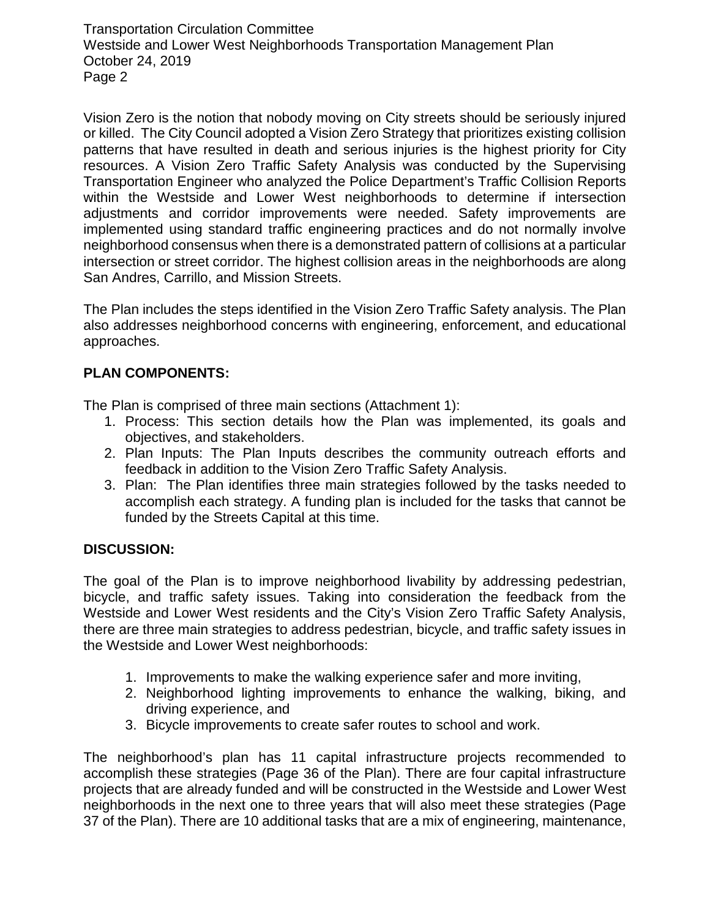Transportation Circulation Committee Westside and Lower West Neighborhoods Transportation Management Plan October 24, 2019 Page 2

Vision Zero is the notion that nobody moving on City streets should be seriously injured or killed. The City Council adopted a Vision Zero Strategy that prioritizes existing collision patterns that have resulted in death and serious injuries is the highest priority for City resources. A Vision Zero Traffic Safety Analysis was conducted by the Supervising Transportation Engineer who analyzed the Police Department's Traffic Collision Reports within the Westside and Lower West neighborhoods to determine if intersection adjustments and corridor improvements were needed. Safety improvements are implemented using standard traffic engineering practices and do not normally involve neighborhood consensus when there is a demonstrated pattern of collisions at a particular intersection or street corridor. The highest collision areas in the neighborhoods are along San Andres, Carrillo, and Mission Streets.

The Plan includes the steps identified in the Vision Zero Traffic Safety analysis. The Plan also addresses neighborhood concerns with engineering, enforcement, and educational approaches.

# **PLAN COMPONENTS:**

The Plan is comprised of three main sections (Attachment 1):

- 1. Process: This section details how the Plan was implemented, its goals and objectives, and stakeholders.
- 2. Plan Inputs: The Plan Inputs describes the community outreach efforts and feedback in addition to the Vision Zero Traffic Safety Analysis.
- 3. Plan: The Plan identifies three main strategies followed by the tasks needed to accomplish each strategy. A funding plan is included for the tasks that cannot be funded by the Streets Capital at this time.

### **DISCUSSION:**

The goal of the Plan is to improve neighborhood livability by addressing pedestrian, bicycle, and traffic safety issues. Taking into consideration the feedback from the Westside and Lower West residents and the City's Vision Zero Traffic Safety Analysis, there are three main strategies to address pedestrian, bicycle, and traffic safety issues in the Westside and Lower West neighborhoods:

- 1. Improvements to make the walking experience safer and more inviting,
- 2. Neighborhood lighting improvements to enhance the walking, biking, and driving experience, and
- 3. Bicycle improvements to create safer routes to school and work.

The neighborhood's plan has 11 capital infrastructure projects recommended to accomplish these strategies (Page 36 of the Plan). There are four capital infrastructure projects that are already funded and will be constructed in the Westside and Lower West neighborhoods in the next one to three years that will also meet these strategies (Page 37 of the Plan). There are 10 additional tasks that are a mix of engineering, maintenance,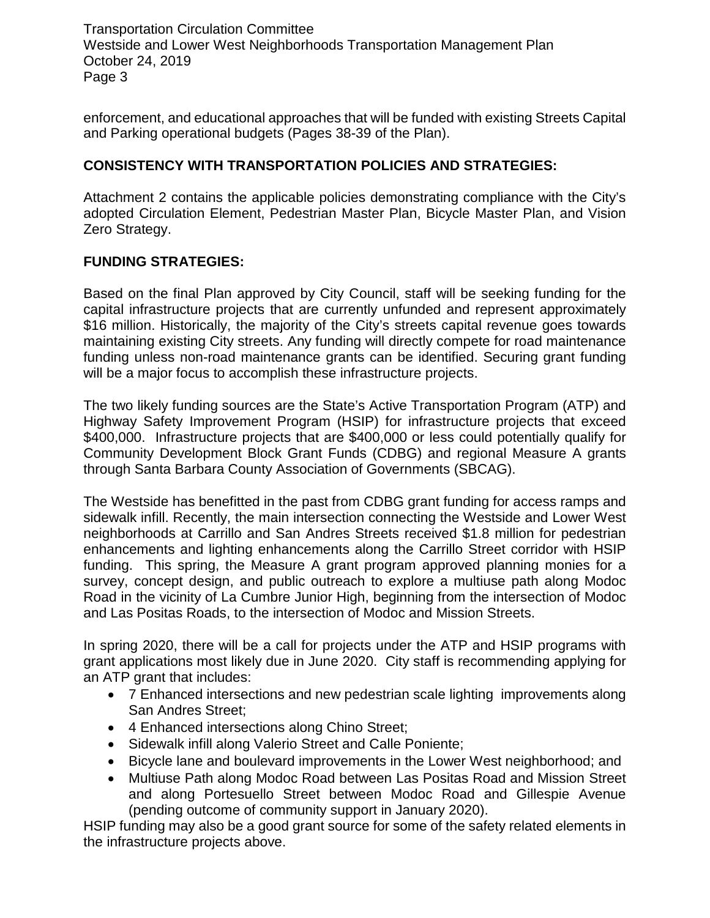Transportation Circulation Committee Westside and Lower West Neighborhoods Transportation Management Plan October 24, 2019 Page 3

enforcement, and educational approaches that will be funded with existing Streets Capital and Parking operational budgets (Pages 38-39 of the Plan).

# **CONSISTENCY WITH TRANSPORTATION POLICIES AND STRATEGIES:**

Attachment 2 contains the applicable policies demonstrating compliance with the City's adopted Circulation Element, Pedestrian Master Plan, Bicycle Master Plan, and Vision Zero Strategy.

## **FUNDING STRATEGIES:**

Based on the final Plan approved by City Council, staff will be seeking funding for the capital infrastructure projects that are currently unfunded and represent approximately \$16 million. Historically, the majority of the City's streets capital revenue goes towards maintaining existing City streets. Any funding will directly compete for road maintenance funding unless non-road maintenance grants can be identified. Securing grant funding will be a major focus to accomplish these infrastructure projects.

The two likely funding sources are the State's Active Transportation Program (ATP) and Highway Safety Improvement Program (HSIP) for infrastructure projects that exceed \$400,000. Infrastructure projects that are \$400,000 or less could potentially qualify for Community Development Block Grant Funds (CDBG) and regional Measure A grants through Santa Barbara County Association of Governments (SBCAG).

The Westside has benefitted in the past from CDBG grant funding for access ramps and sidewalk infill. Recently, the main intersection connecting the Westside and Lower West neighborhoods at Carrillo and San Andres Streets received \$1.8 million for pedestrian enhancements and lighting enhancements along the Carrillo Street corridor with HSIP funding. This spring, the Measure A grant program approved planning monies for a survey, concept design, and public outreach to explore a multiuse path along Modoc Road in the vicinity of La Cumbre Junior High, beginning from the intersection of Modoc and Las Positas Roads, to the intersection of Modoc and Mission Streets.

In spring 2020, there will be a call for projects under the ATP and HSIP programs with grant applications most likely due in June 2020. City staff is recommending applying for an ATP grant that includes:

- 7 Enhanced intersections and new pedestrian scale lighting improvements along San Andres Street;
- 4 Enhanced intersections along Chino Street;
- Sidewalk infill along Valerio Street and Calle Poniente;
- Bicycle lane and boulevard improvements in the Lower West neighborhood; and
- Multiuse Path along Modoc Road between Las Positas Road and Mission Street and along Portesuello Street between Modoc Road and Gillespie Avenue (pending outcome of community support in January 2020).

HSIP funding may also be a good grant source for some of the safety related elements in the infrastructure projects above.